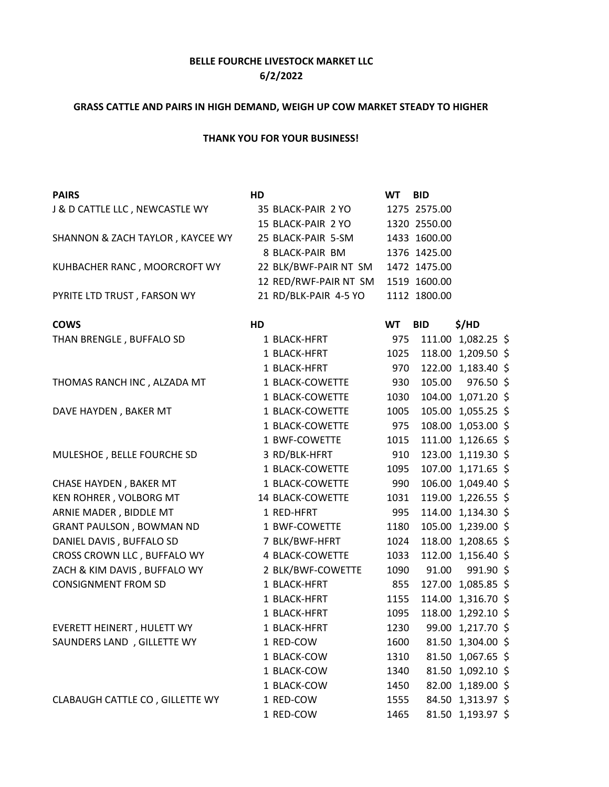## **BELLE FOURCHE LIVESTOCK MARKET LLC 6/2/2022**

## **GRASS CATTLE AND PAIRS IN HIGH DEMAND, WEIGH UP COW MARKET STEADY TO HIGHER**

## **THANK YOU FOR YOUR BUSINESS!**

| <b>PAIRS</b>                     | HD                    | <b>WT</b> | <b>BID</b>   |                    |  |
|----------------------------------|-----------------------|-----------|--------------|--------------------|--|
| J & D CATTLE LLC, NEWCASTLE WY   | 35 BLACK-PAIR 2 YO    |           | 1275 2575.00 |                    |  |
|                                  | 15 BLACK-PAIR 2 YO    |           | 1320 2550.00 |                    |  |
| SHANNON & ZACH TAYLOR, KAYCEE WY | 25 BLACK-PAIR 5-SM    |           | 1433 1600.00 |                    |  |
|                                  | 8 BLACK-PAIR BM       |           | 1376 1425.00 |                    |  |
| KUHBACHER RANC, MOORCROFT WY     | 22 BLK/BWF-PAIR NT SM |           | 1472 1475.00 |                    |  |
|                                  | 12 RED/RWF-PAIR NT SM |           | 1519 1600.00 |                    |  |
| PYRITE LTD TRUST, FARSON WY      | 21 RD/BLK-PAIR 4-5 YO |           | 1112 1800.00 |                    |  |
| <b>COWS</b>                      | HD                    | <b>WT</b> | <b>BID</b>   | \$/HD              |  |
| THAN BRENGLE, BUFFALO SD         | 1 BLACK-HFRT          | 975       |              | 111.00 1,082.25 \$ |  |
|                                  | 1 BLACK-HFRT          | 1025      |              | 118.00 1,209.50 \$ |  |
|                                  | 1 BLACK-HFRT          | 970       |              | 122.00 1,183.40 \$ |  |
| THOMAS RANCH INC, ALZADA MT      | 1 BLACK-COWETTE       | 930       | 105.00       | 976.50 \$          |  |
|                                  | 1 BLACK-COWETTE       | 1030      |              | 104.00 1,071.20 \$ |  |
| DAVE HAYDEN, BAKER MT            | 1 BLACK-COWETTE       | 1005      |              | 105.00 1,055.25 \$ |  |
|                                  | 1 BLACK-COWETTE       | 975       |              | 108.00 1,053.00 \$ |  |
|                                  | 1 BWF-COWETTE         | 1015      |              | 111.00 1,126.65 \$ |  |
| MULESHOE, BELLE FOURCHE SD       | 3 RD/BLK-HFRT         | 910       |              | 123.00 1,119.30 \$ |  |
|                                  | 1 BLACK-COWETTE       | 1095      |              | 107.00 1,171.65 \$ |  |
| CHASE HAYDEN, BAKER MT           | 1 BLACK-COWETTE       | 990       |              | 106.00 1,049.40 \$ |  |
| KEN ROHRER, VOLBORG MT           | 14 BLACK-COWETTE      | 1031      | 119.00       | $1,226.55$ \$      |  |
| ARNIE MADER, BIDDLE MT           | 1 RED-HFRT            | 995       |              | 114.00 1,134.30 \$ |  |
| <b>GRANT PAULSON, BOWMAN ND</b>  | 1 BWF-COWETTE         | 1180      |              | 105.00 1,239.00 \$ |  |
| DANIEL DAVIS, BUFFALO SD         | 7 BLK/BWF-HFRT        | 1024      |              | 118.00 1,208.65 \$ |  |
| CROSS CROWN LLC, BUFFALO WY      | 4 BLACK-COWETTE       | 1033      |              | 112.00 1,156.40 \$ |  |
| ZACH & KIM DAVIS, BUFFALO WY     | 2 BLK/BWF-COWETTE     | 1090      | 91.00        | 991.90 \$          |  |
| <b>CONSIGNMENT FROM SD</b>       | 1 BLACK-HFRT          | 855       |              | 127.00 1,085.85 \$ |  |
|                                  | 1 BLACK-HFRT          | 1155      |              | 114.00 1,316.70 \$ |  |
|                                  | 1 BLACK-HFRT          | 1095      |              | 118.00 1,292.10 \$ |  |
| EVERETT HEINERT, HULETT WY       | 1 BLACK-HFRT          | 1230      |              | 99.00 1,217.70 \$  |  |
| SAUNDERS LAND , GILLETTE WY      | 1 RED-COW             | 1600      |              | 81.50 1,304.00 \$  |  |
|                                  | 1 BLACK-COW           | 1310      |              | 81.50 1,067.65 \$  |  |
|                                  | 1 BLACK-COW           | 1340      |              | 81.50 1,092.10 \$  |  |
|                                  | 1 BLACK-COW           | 1450      |              | 82.00 1,189.00 \$  |  |
| CLABAUGH CATTLE CO, GILLETTE WY  | 1 RED-COW             | 1555      |              | 84.50 1,313.97 \$  |  |
|                                  | 1 RED-COW             | 1465      |              | 81.50 1,193.97 \$  |  |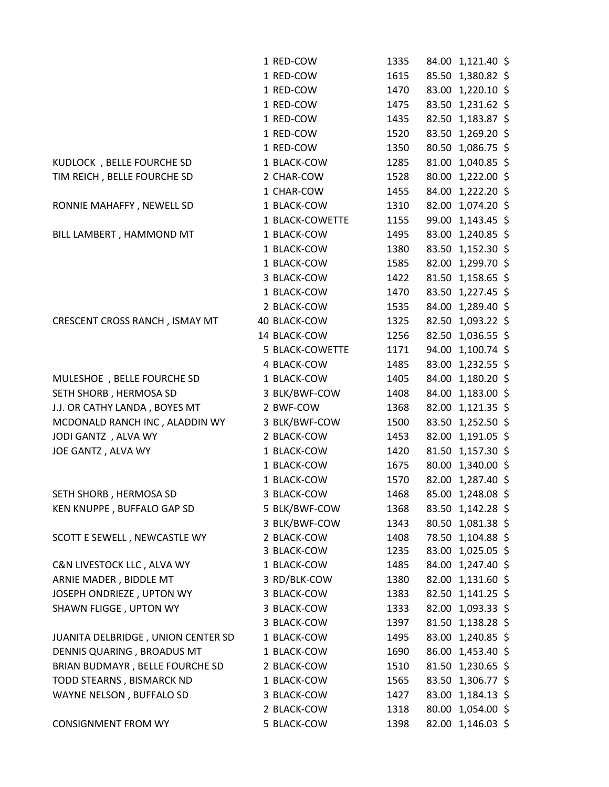|                                    | 1 RED-COW              | 1335 | 84.00 1,121.40 \$ |  |
|------------------------------------|------------------------|------|-------------------|--|
|                                    | 1 RED-COW              | 1615 | 85.50 1,380.82 \$ |  |
|                                    | 1 RED-COW              | 1470 | 83.00 1,220.10 \$ |  |
|                                    | 1 RED-COW              | 1475 | 83.50 1,231.62 \$ |  |
|                                    | 1 RED-COW              | 1435 | 82.50 1,183.87 \$ |  |
|                                    | 1 RED-COW              | 1520 | 83.50 1,269.20 \$ |  |
|                                    | 1 RED-COW              | 1350 | 80.50 1,086.75 \$ |  |
| KUDLOCK, BELLE FOURCHE SD          | 1 BLACK-COW            | 1285 | 81.00 1,040.85 \$ |  |
| TIM REICH, BELLE FOURCHE SD        | 2 CHAR-COW             | 1528 | 80.00 1,222.00 \$ |  |
|                                    | 1 CHAR-COW             | 1455 | 84.00 1,222.20 \$ |  |
| RONNIE MAHAFFY, NEWELL SD          | 1 BLACK-COW            | 1310 | 82.00 1,074.20 \$ |  |
|                                    | 1 BLACK-COWETTE        | 1155 | 99.00 1,143.45 \$ |  |
| BILL LAMBERT, HAMMOND MT           | 1 BLACK-COW            | 1495 | 83.00 1,240.85 \$ |  |
|                                    | 1 BLACK-COW            | 1380 | 83.50 1,152.30 \$ |  |
|                                    | 1 BLACK-COW            | 1585 | 82.00 1,299.70 \$ |  |
|                                    | 3 BLACK-COW            | 1422 | 81.50 1,158.65 \$ |  |
|                                    | 1 BLACK-COW            | 1470 | 83.50 1,227.45 \$ |  |
|                                    | 2 BLACK-COW            | 1535 | 84.00 1,289.40 \$ |  |
| CRESCENT CROSS RANCH, ISMAY MT     | 40 BLACK-COW           | 1325 | 82.50 1,093.22 \$ |  |
|                                    | 14 BLACK-COW           | 1256 | 82.50 1,036.55 \$ |  |
|                                    | <b>5 BLACK-COWETTE</b> | 1171 | 94.00 1,100.74 \$ |  |
|                                    | 4 BLACK-COW            | 1485 | 83.00 1,232.55 \$ |  |
| MULESHOE, BELLE FOURCHE SD         | 1 BLACK-COW            | 1405 | 84.00 1,180.20 \$ |  |
| SETH SHORB, HERMOSA SD             | 3 BLK/BWF-COW          | 1408 | 84.00 1,183.00 \$ |  |
| J.J. OR CATHY LANDA, BOYES MT      | 2 BWF-COW              | 1368 | 82.00 1,121.35 \$ |  |
| MCDONALD RANCH INC, ALADDIN WY     | 3 BLK/BWF-COW          | 1500 | 83.50 1,252.50 \$ |  |
| JODI GANTZ , ALVA WY               | 2 BLACK-COW            | 1453 | 82.00 1,191.05 \$ |  |
| JOE GANTZ, ALVA WY                 | 1 BLACK-COW            | 1420 | 81.50 1,157.30 \$ |  |
|                                    | 1 BLACK-COW            | 1675 | 80.00 1,340.00 \$ |  |
|                                    | 1 BLACK-COW            | 1570 | 82.00 1,287.40 \$ |  |
| SETH SHORB, HERMOSA SD             | 3 BLACK-COW            | 1468 | 85.00 1,248.08 \$ |  |
| KEN KNUPPE, BUFFALO GAP SD         | 5 BLK/BWF-COW          | 1368 | 83.50 1,142.28 \$ |  |
|                                    | 3 BLK/BWF-COW          | 1343 | 80.50 1,081.38 \$ |  |
| SCOTT E SEWELL, NEWCASTLE WY       | 2 BLACK-COW            | 1408 | 78.50 1,104.88 \$ |  |
|                                    | 3 BLACK-COW            | 1235 | 83.00 1,025.05 \$ |  |
| C&N LIVESTOCK LLC, ALVA WY         | 1 BLACK-COW            | 1485 | 84.00 1,247.40 \$ |  |
| ARNIE MADER, BIDDLE MT             | 3 RD/BLK-COW           | 1380 | 82.00 1,131.60 \$ |  |
| JOSEPH ONDRIEZE, UPTON WY          | 3 BLACK-COW            | 1383 | 82.50 1,141.25 \$ |  |
| SHAWN FLIGGE, UPTON WY             | 3 BLACK-COW            | 1333 | 82.00 1,093.33 \$ |  |
|                                    | 3 BLACK-COW            | 1397 | 81.50 1,138.28 \$ |  |
| JUANITA DELBRIDGE, UNION CENTER SD | 1 BLACK-COW            | 1495 | 83.00 1,240.85 \$ |  |
| DENNIS QUARING, BROADUS MT         | 1 BLACK-COW            | 1690 | 86.00 1,453.40 \$ |  |
| BRIAN BUDMAYR, BELLE FOURCHE SD    | 2 BLACK-COW            | 1510 | 81.50 1,230.65 \$ |  |
| TODD STEARNS, BISMARCK ND          | 1 BLACK-COW            | 1565 | 83.50 1,306.77 \$ |  |
| WAYNE NELSON, BUFFALO SD           | 3 BLACK-COW            | 1427 | 83.00 1,184.13 \$ |  |
|                                    | 2 BLACK-COW            | 1318 | 80.00 1,054.00 \$ |  |
| <b>CONSIGNMENT FROM WY</b>         | 5 BLACK-COW            | 1398 | 82.00 1,146.03 \$ |  |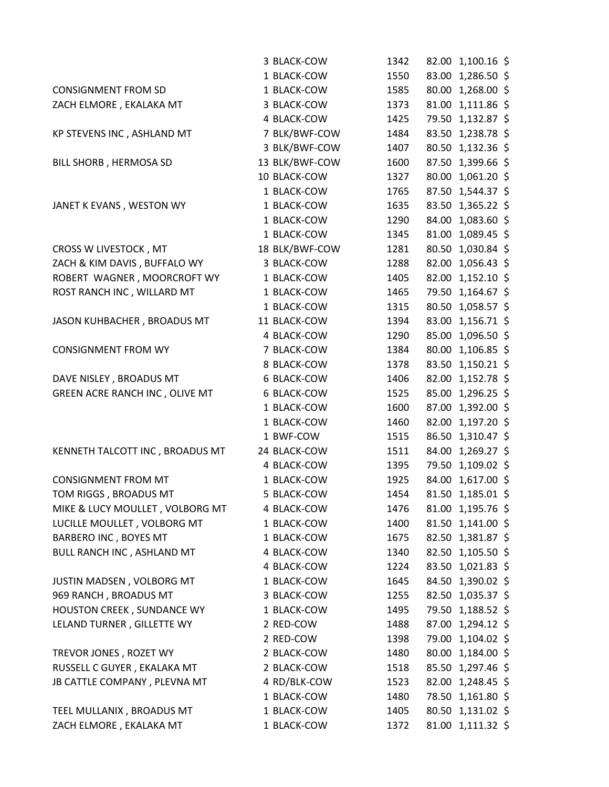|                                 | 3 BLACK-COW    | 1342 | 82.00 1,100.16 \$ |
|---------------------------------|----------------|------|-------------------|
|                                 | 1 BLACK-COW    | 1550 | 83.00 1,286.50 \$ |
| <b>CONSIGNMENT FROM SD</b>      | 1 BLACK-COW    | 1585 | 80.00 1,268.00 \$ |
| ZACH ELMORE, EKALAKA MT         | 3 BLACK-COW    | 1373 | 81.00 1,111.86 \$ |
|                                 | 4 BLACK-COW    | 1425 | 79.50 1,132.87 \$ |
| KP STEVENS INC, ASHLAND MT      | 7 BLK/BWF-COW  | 1484 | 83.50 1,238.78 \$ |
|                                 | 3 BLK/BWF-COW  | 1407 | 80.50 1,132.36 \$ |
| BILL SHORB, HERMOSA SD          | 13 BLK/BWF-COW | 1600 | 87.50 1,399.66 \$ |
|                                 | 10 BLACK-COW   | 1327 | 80.00 1,061.20 \$ |
|                                 | 1 BLACK-COW    | 1765 | 87.50 1,544.37 \$ |
| JANET K EVANS, WESTON WY        | 1 BLACK-COW    | 1635 | 83.50 1,365.22 \$ |
|                                 | 1 BLACK-COW    | 1290 | 84.00 1,083.60 \$ |
|                                 | 1 BLACK-COW    | 1345 | 81.00 1,089.45 \$ |
| CROSS W LIVESTOCK, MT           | 18 BLK/BWF-COW | 1281 | 80.50 1,030.84 \$ |
| ZACH & KIM DAVIS, BUFFALO WY    | 3 BLACK-COW    | 1288 | 82.00 1,056.43 \$ |
| ROBERT WAGNER, MOORCROFT WY     | 1 BLACK-COW    | 1405 | 82.00 1,152.10 \$ |
| ROST RANCH INC, WILLARD MT      | 1 BLACK-COW    | 1465 | 79.50 1,164.67 \$ |
|                                 | 1 BLACK-COW    | 1315 | 80.50 1,058.57 \$ |
| JASON KUHBACHER, BROADUS MT     | 11 BLACK-COW   | 1394 | 83.00 1,156.71 \$ |
|                                 | 4 BLACK-COW    | 1290 | 85.00 1,096.50 \$ |
| <b>CONSIGNMENT FROM WY</b>      | 7 BLACK-COW    | 1384 | 80.00 1,106.85 \$ |
|                                 | 8 BLACK-COW    | 1378 | 83.50 1,150.21 \$ |
| DAVE NISLEY, BROADUS MT         | 6 BLACK-COW    | 1406 | 82.00 1,152.78 \$ |
| GREEN ACRE RANCH INC, OLIVE MT  | 6 BLACK-COW    | 1525 | 85.00 1,296.25 \$ |
|                                 | 1 BLACK-COW    | 1600 | 87.00 1,392.00 \$ |
|                                 | 1 BLACK-COW    | 1460 | 82.00 1,197.20 \$ |
|                                 | 1 BWF-COW      | 1515 | 86.50 1,310.47 \$ |
| KENNETH TALCOTT INC, BROADUS MT | 24 BLACK-COW   | 1511 | 84.00 1,269.27 \$ |
|                                 | 4 BLACK-COW    | 1395 | 79.50 1,109.02 \$ |
| <b>CONSIGNMENT FROM MT</b>      | 1 BLACK-COW    | 1925 | 84.00 1,617.00 \$ |
| TOM RIGGS, BROADUS MT           | 5 BLACK-COW    | 1454 | 81.50 1,185.01 \$ |
| MIKE & LUCY MOULLET, VOLBORG MT | 4 BLACK-COW    | 1476 | 81.00 1,195.76 \$ |
| LUCILLE MOULLET, VOLBORG MT     | 1 BLACK-COW    | 1400 | 81.50 1,141.00 \$ |
| BARBERO INC, BOYES MT           | 1 BLACK-COW    | 1675 | 82.50 1,381.87 \$ |
| BULL RANCH INC, ASHLAND MT      | 4 BLACK-COW    | 1340 | 82.50 1,105.50 \$ |
|                                 | 4 BLACK-COW    | 1224 | 83.50 1,021.83 \$ |
| JUSTIN MADSEN, VOLBORG MT       | 1 BLACK-COW    | 1645 | 84.50 1,390.02 \$ |
| 969 RANCH, BROADUS MT           | 3 BLACK-COW    | 1255 | 82.50 1,035.37 \$ |
| HOUSTON CREEK, SUNDANCE WY      | 1 BLACK-COW    | 1495 | 79.50 1,188.52 \$ |
| LELAND TURNER, GILLETTE WY      | 2 RED-COW      | 1488 | 87.00 1,294.12 \$ |
|                                 | 2 RED-COW      | 1398 | 79.00 1,104.02 \$ |
| TREVOR JONES, ROZET WY          | 2 BLACK-COW    | 1480 | 80.00 1,184.00 \$ |
| RUSSELL C GUYER, EKALAKA MT     | 2 BLACK-COW    | 1518 | 85.50 1,297.46 \$ |
| JB CATTLE COMPANY, PLEVNA MT    | 4 RD/BLK-COW   | 1523 | 82.00 1,248.45 \$ |
|                                 | 1 BLACK-COW    | 1480 | 78.50 1,161.80 \$ |
| TEEL MULLANIX, BROADUS MT       | 1 BLACK-COW    | 1405 | 80.50 1,131.02 \$ |
| ZACH ELMORE, EKALAKA MT         | 1 BLACK-COW    | 1372 | 81.00 1,111.32 \$ |